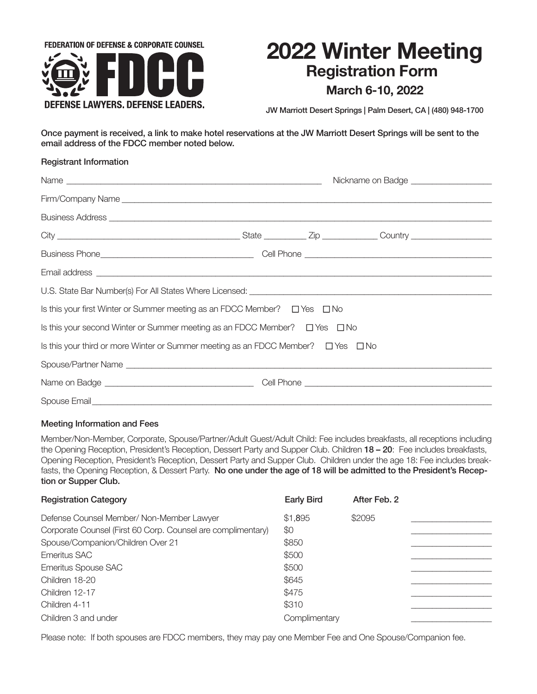

# **2022 Winter Meeting Registration Form**

# **March 6-10, 2022**

JW Marriott Desert Springs | Palm Desert, CA | (480) 948-1700

Once payment is received, a link to make hotel reservations at the JW Marriott Desert Springs will be sent to the email address of the FDCC member noted below.

| <b>Registrant Information</b>                                                                                                                       |  |  |  |  |
|-----------------------------------------------------------------------------------------------------------------------------------------------------|--|--|--|--|
|                                                                                                                                                     |  |  |  |  |
|                                                                                                                                                     |  |  |  |  |
|                                                                                                                                                     |  |  |  |  |
|                                                                                                                                                     |  |  |  |  |
|                                                                                                                                                     |  |  |  |  |
|                                                                                                                                                     |  |  |  |  |
|                                                                                                                                                     |  |  |  |  |
| Is this your first Winter or Summer meeting as an FDCC Member? $\square$ Yes $\square$ No                                                           |  |  |  |  |
| Is this your second Winter or Summer meeting as an FDCC Member? $\square$ Yes $\square$ No                                                          |  |  |  |  |
| Is this your third or more Winter or Summer meeting as an FDCC Member? $\square$ Yes $\square$ No                                                   |  |  |  |  |
|                                                                                                                                                     |  |  |  |  |
|                                                                                                                                                     |  |  |  |  |
| Spouse Email Spouse - Email Spouse - Email Spouse - Email Spouse - Email Spouse - Email Spouse - Email Spouse - Email Spouse - Email Spouse - Email |  |  |  |  |

## Meeting Information and Fees

Member/Non-Member, Corporate, Spouse/Partner/Adult Guest/Adult Child: Fee includes breakfasts, all receptions including the Opening Reception, President's Reception, Dessert Party and Supper Club. Children 18 – 20: Fee includes breakfasts, Opening Reception, President's Reception, Dessert Party and Supper Club. Children under the age 18: Fee includes breakfasts, the Opening Reception, & Dessert Party. No one under the age of 18 will be admitted to the President's Reception or Supper Club.

| <b>Registration Category</b>                                 | <b>Early Bird</b> | After Feb. 2 |  |
|--------------------------------------------------------------|-------------------|--------------|--|
| Defense Counsel Member/ Non-Member Lawyer                    | \$1,895           | \$2095       |  |
| Corporate Counsel (First 60 Corp. Counsel are complimentary) | \$0               |              |  |
| Spouse/Companion/Children Over 21                            | \$850             |              |  |
| Emeritus SAC                                                 | \$500             |              |  |
| <b>Emeritus Spouse SAC</b>                                   | \$500             |              |  |
| Children 18-20                                               | \$645             |              |  |
| Children 12-17                                               | \$475             |              |  |
| Children 4-11                                                | \$310             |              |  |
| Children 3 and under                                         | Complimentary     |              |  |

Please note: If both spouses are FDCC members, they may pay one Member Fee and One Spouse/Companion fee.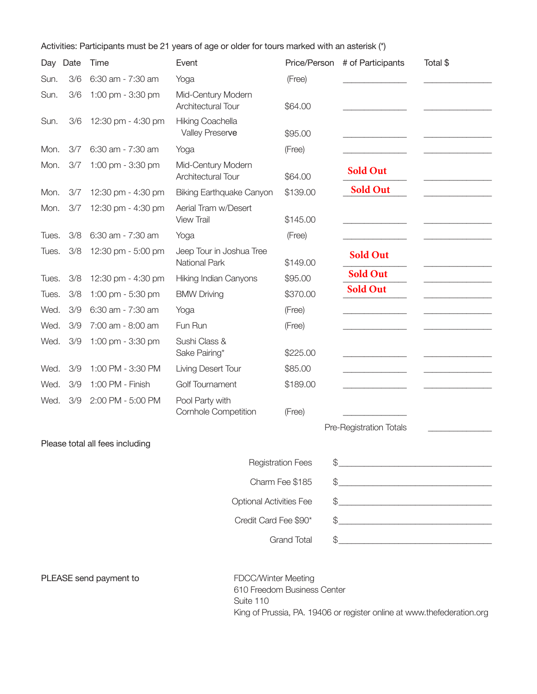Activities: Participants must be 21 years of age or older for tours marked with an asterisk (\*)

| Day   | Date                           | Time                            | Event                                            | Price/Person             | # of Participants                                                                                                                                                                                                                                                                                                                                                                                                      | Total \$ |
|-------|--------------------------------|---------------------------------|--------------------------------------------------|--------------------------|------------------------------------------------------------------------------------------------------------------------------------------------------------------------------------------------------------------------------------------------------------------------------------------------------------------------------------------------------------------------------------------------------------------------|----------|
| Sun.  | 3/6                            | 6:30 am - 7:30 am               | Yoga                                             | (Free)                   |                                                                                                                                                                                                                                                                                                                                                                                                                        |          |
| Sun.  | 3/6                            | 1:00 pm - 3:30 pm               | Mid-Century Modern<br>Architectural Tour         | \$64.00                  |                                                                                                                                                                                                                                                                                                                                                                                                                        |          |
| Sun.  | 3/6                            | 12:30 pm - 4:30 pm              | Hiking Coachella<br>Valley Preserve              | \$95.00                  |                                                                                                                                                                                                                                                                                                                                                                                                                        |          |
| Mon.  | 3/7                            | 6:30 am - 7:30 am               | Yoga                                             | (Free)                   |                                                                                                                                                                                                                                                                                                                                                                                                                        |          |
| Mon.  | 3/7                            | 1:00 pm - 3:30 pm               | Mid-Century Modern<br>Architectural Tour         | \$64.00                  | <b>Sold Out</b>                                                                                                                                                                                                                                                                                                                                                                                                        |          |
| Mon.  | 3/7                            | 12:30 pm - 4:30 pm              | <b>Biking Earthquake Canyon</b>                  | \$139.00                 | <b>Sold Out</b>                                                                                                                                                                                                                                                                                                                                                                                                        |          |
| Mon.  | 3/7                            | 12:30 pm - 4:30 pm              | Aerial Tram w/Desert<br><b>View Trail</b>        | \$145.00                 |                                                                                                                                                                                                                                                                                                                                                                                                                        |          |
| Tues. | 3/8                            | 6:30 am - 7:30 am               | Yoga                                             | (Free)                   |                                                                                                                                                                                                                                                                                                                                                                                                                        |          |
| Tues. | 3/8                            | 12:30 pm - 5:00 pm              | Jeep Tour in Joshua Tree<br><b>National Park</b> | \$149.00                 | <b>Sold Out</b>                                                                                                                                                                                                                                                                                                                                                                                                        |          |
| Tues. | 3/8                            | 12:30 pm - 4:30 pm              | Hiking Indian Canyons                            | \$95.00                  | <b>Sold Out</b>                                                                                                                                                                                                                                                                                                                                                                                                        |          |
| Tues. | 3/8                            | 1:00 pm - 5:30 pm               | <b>BMW Driving</b>                               | \$370.00                 | <b>Sold Out</b>                                                                                                                                                                                                                                                                                                                                                                                                        |          |
| Wed.  | 3/9                            | 6:30 am - 7:30 am               | Yoga                                             | (Free)                   |                                                                                                                                                                                                                                                                                                                                                                                                                        |          |
| Wed.  | 3/9                            | 7:00 am - 8:00 am               | Fun Run                                          | (Free)                   |                                                                                                                                                                                                                                                                                                                                                                                                                        |          |
| Wed.  | 3/9                            | 1:00 pm - 3:30 pm               | Sushi Class &<br>Sake Pairing*                   | \$225.00                 |                                                                                                                                                                                                                                                                                                                                                                                                                        |          |
| Wed.  | 3/9                            | 1:00 PM - 3:30 PM               | Living Desert Tour                               | \$85.00                  |                                                                                                                                                                                                                                                                                                                                                                                                                        |          |
| Wed.  | 3/9                            | 1:00 PM - Finish                | <b>Golf Tournament</b>                           | \$189.00                 |                                                                                                                                                                                                                                                                                                                                                                                                                        |          |
| Wed.  | 3/9                            | 2:00 PM - 5:00 PM               | Pool Party with<br><b>Cornhole Competition</b>   | (Free)                   |                                                                                                                                                                                                                                                                                                                                                                                                                        |          |
|       |                                |                                 |                                                  |                          | Pre-Registration Totals                                                                                                                                                                                                                                                                                                                                                                                                |          |
|       |                                | Please total all fees including |                                                  |                          |                                                                                                                                                                                                                                                                                                                                                                                                                        |          |
|       |                                |                                 |                                                  | <b>Registration Fees</b> | $\begin{picture}(20,10) \put(0,0){\vector(1,0){100}} \put(15,0){\vector(1,0){100}} \put(15,0){\vector(1,0){100}} \put(15,0){\vector(1,0){100}} \put(15,0){\vector(1,0){100}} \put(15,0){\vector(1,0){100}} \put(15,0){\vector(1,0){100}} \put(15,0){\vector(1,0){100}} \put(15,0){\vector(1,0){100}} \put(15,0){\vector(1,0){100}} \put(15,0){\vector(1,0){100}} \$                                                    |          |
|       |                                |                                 | Charm Fee \$185                                  |                          |                                                                                                                                                                                                                                                                                                                                                                                                                        |          |
|       | <b>Optional Activities Fee</b> |                                 |                                                  |                          |                                                                                                                                                                                                                                                                                                                                                                                                                        |          |
|       |                                |                                 |                                                  |                          |                                                                                                                                                                                                                                                                                                                                                                                                                        |          |
|       | Credit Card Fee \$90*          |                                 |                                                  |                          |                                                                                                                                                                                                                                                                                                                                                                                                                        |          |
|       |                                |                                 |                                                  |                          |                                                                                                                                                                                                                                                                                                                                                                                                                        |          |
|       |                                |                                 |                                                  |                          |                                                                                                                                                                                                                                                                                                                                                                                                                        |          |
|       |                                | PLEASE send payment to          | FDCC/Winter Meeting                              | <b>Grand Total</b>       | $\frac{1}{2}$<br>$\frac{1}{2}$<br>$\frac{1}{2}$<br>$\begin{picture}(20,10) \put(0,0){\vector(1,0){100}} \put(15,0){\vector(1,0){100}} \put(15,0){\vector(1,0){100}} \put(15,0){\vector(1,0){100}} \put(15,0){\vector(1,0){100}} \put(15,0){\vector(1,0){100}} \put(15,0){\vector(1,0){100}} \put(15,0){\vector(1,0){100}} \put(15,0){\vector(1,0){100}} \put(15,0){\vector(1,0){100}} \put(15,0){\vector(1,0){100}} \$ |          |

610 Freedom Business Center Suite 110 King of Prussia, PA. 19406 or register online at www.thefederation.org